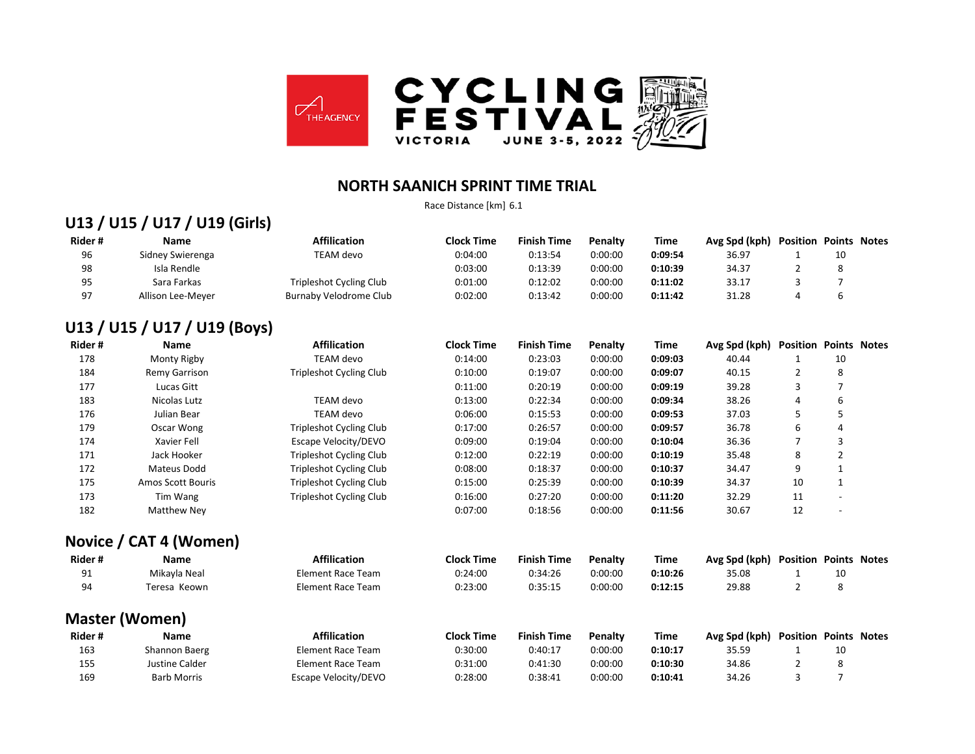

#### **NORTH SAANICH SPRINT TIME TRIAL**

Race Distance [km] 6.1

#### **U13 / U15 / U17 / U19 (Girls)**

| Rider# | Name              | <b>Affilication</b>     | <b>Clock Time</b> | <b>Finish Time</b> | <b>Penalty</b> | Time    | Avg Spd (kph) | Position | <b>Points Notes</b> |  |
|--------|-------------------|-------------------------|-------------------|--------------------|----------------|---------|---------------|----------|---------------------|--|
| 96     | Sidney Swierenga  | TEAM devo               | 0:04:00           | 0:13:54            | 0:00:00        | 0:09:54 | 36.97         |          | 10                  |  |
| 98     | Isla Rendle       |                         | 0:03:00           | 0:13:39            | 0:00:00        | 0:10:39 | 34.37         |          |                     |  |
| 95     | Sara Farkas       | Tripleshot Cycling Club | 0:01:00           | 0:12:02            | 0:00:00        | 0:11:02 | 33.17         |          |                     |  |
| 07     | Allison Lee-Meyer | Burnaby Velodrome Club  | 0:02:00           | 0:13:42            | 0:00:00        | 0:11:42 | 31.28         |          |                     |  |

#### **U13 / U15 / U17 / U19 (Boys)**

| Rider# | <b>Name</b>              | <b>Affilication</b>            | <b>Clock Time</b> | <b>Finish Time</b> | <b>Penalty</b> | Time    | Avg Spd (kph) | <b>Position Points Notes</b> |                          |  |
|--------|--------------------------|--------------------------------|-------------------|--------------------|----------------|---------|---------------|------------------------------|--------------------------|--|
| 178    | Monty Rigby              | <b>TEAM</b> devo               | 0:14:00           | 0:23:03            | 0:00:00        | 0:09:03 | 40.44         | 1                            | 10                       |  |
| 184    | Remy Garrison            | <b>Tripleshot Cycling Club</b> | 0:10:00           | 0:19:07            | 0:00:00        | 0:09:07 | 40.15         | $\overline{2}$               | 8                        |  |
| 177    | Lucas Gitt               |                                | 0:11:00           | 0:20:19            | 0:00:00        | 0:09:19 | 39.28         | 3                            | $\overline{7}$           |  |
| 183    | Nicolas Lutz             | <b>TEAM</b> devo               | 0:13:00           | 0:22:34            | 0:00:00        | 0:09:34 | 38.26         | 4                            | 6                        |  |
| 176    | Julian Bear              | <b>TEAM</b> devo               | 0:06:00           | 0:15:53            | 0:00:00        | 0:09:53 | 37.03         | 5                            | 5                        |  |
| 179    | Oscar Wong               | <b>Tripleshot Cycling Club</b> | 0:17:00           | 0:26:57            | 0:00:00        | 0:09:57 | 36.78         | 6                            | 4                        |  |
| 174    | Xavier Fell              | Escape Velocity/DEVO           | 0:09:00           | 0:19:04            | 0:00:00        | 0:10:04 | 36.36         | 7                            | 3                        |  |
| 171    | Jack Hooker              | <b>Tripleshot Cycling Club</b> | 0:12:00           | 0:22:19            | 0:00:00        | 0:10:19 | 35.48         | 8                            | $\overline{2}$           |  |
| 172    | <b>Mateus Dodd</b>       | <b>Tripleshot Cycling Club</b> | 0:08:00           | 0:18:37            | 0:00:00        | 0:10:37 | 34.47         | 9                            | $\mathbf{1}$             |  |
| 175    | <b>Amos Scott Bouris</b> | Tripleshot Cycling Club        | 0:15:00           | 0:25:39            | 0:00:00        | 0:10:39 | 34.37         | 10                           | $\mathbf{1}$             |  |
| 173    | Tim Wang                 | <b>Tripleshot Cycling Club</b> | 0:16:00           | 0:27:20            | 0:00:00        | 0:11:20 | 32.29         | 11                           | $\overline{\phantom{a}}$ |  |
| 182    | <b>Matthew Ney</b>       |                                | 0:07:00           | 0:18:56            | 0:00:00        | 0:11:56 | 30.67         | 12                           | $\overline{\phantom{a}}$ |  |
|        | Novice / CAT 4 (Women)   |                                |                   |                    |                |         |               |                              |                          |  |
| Rider# | Name                     | <b>Affilication</b>            | <b>Clock Time</b> | <b>Finish Time</b> | <b>Penalty</b> | Time    | Avg Spd (kph) | <b>Position Points Notes</b> |                          |  |
| 91     | Mikayla Neal             | <b>Element Race Team</b>       | 0:24:00           | 0:34:26            | 0:00:00        | 0:10:26 | 35.08         | $\mathbf{1}$                 | 10                       |  |
| 94     | Teresa Keown             | <b>Element Race Team</b>       | 0:23:00           | 0:35:15            | 0:00:00        | 0:12:15 | 29.88         | $\overline{2}$               | 8                        |  |
|        | <b>Master (Women)</b>    |                                |                   |                    |                |         |               |                              |                          |  |
| Rider# | <b>Name</b>              | <b>Affilication</b>            | <b>Clock Time</b> | <b>Finish Time</b> | <b>Penalty</b> | Time    | Avg Spd (kph) | <b>Position Points Notes</b> |                          |  |
| 163    | Shannon Baerg            | <b>Element Race Team</b>       | 0:30:00           | 0:40:17            | 0:00:00        | 0:10:17 | 35.59         |                              | 10                       |  |
| 155    | Justine Calder           | <b>Element Race Team</b>       | 0:31:00           | 0:41:30            | 0:00:00        | 0:10:30 | 34.86         | $\overline{2}$               | 8                        |  |

Barb Morris Escape Velocity/DEVO 0:28:00 0:38:41 0:00:00 **0:10:41** 34.26 3 7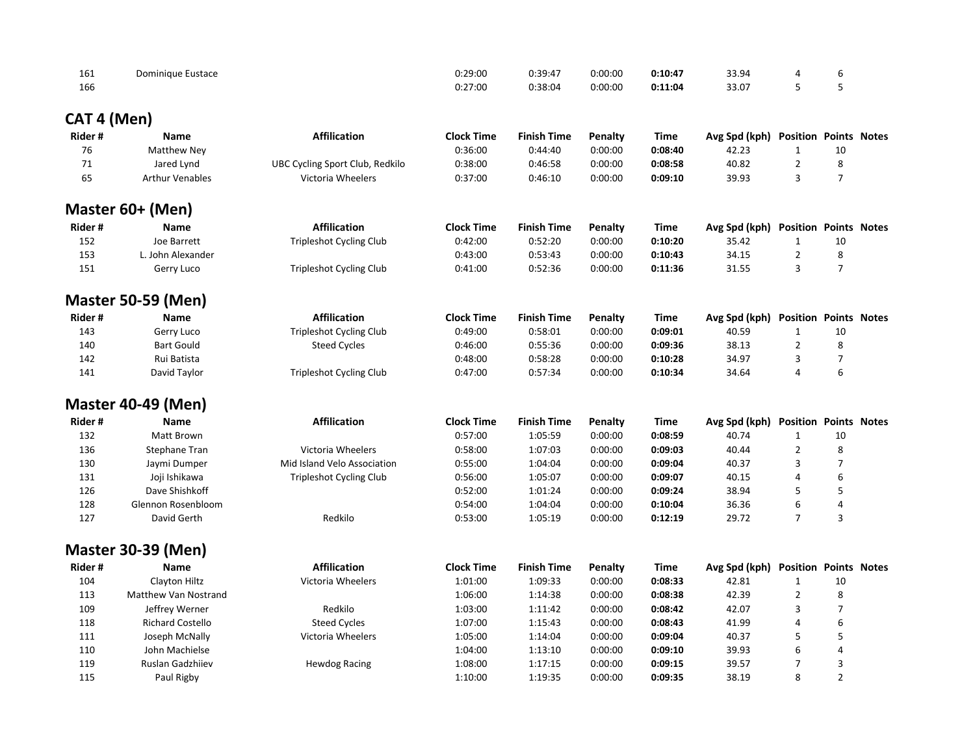| 161 | Dominique Eustace | 0:29:00 | 0:39:47 | 0:00:00 | 0:10:47 | 33.94 |  |
|-----|-------------------|---------|---------|---------|---------|-------|--|
| 166 |                   | 0:27:00 | J:38:04 | 0:00:00 | 0:11:04 | 33.07 |  |

# **CAT 4 (Men)**

| Rider# | <b>Name</b>               | <b>Affilication</b>                    | <b>Clock Time</b> | <b>Finish Time</b> | <b>Penalty</b> | <b>Time</b> | Avg Spd (kph) | <b>Position Points Notes</b> |                |  |
|--------|---------------------------|----------------------------------------|-------------------|--------------------|----------------|-------------|---------------|------------------------------|----------------|--|
| 76     | <b>Matthew Ney</b>        |                                        | 0:36:00           | 0:44:40            | 0:00:00        | 0:08:40     | 42.23         | $\mathbf{1}$                 | 10             |  |
| 71     | Jared Lynd                | <b>UBC Cycling Sport Club, Redkilo</b> | 0:38:00           | 0:46:58            | 0:00:00        | 0:08:58     | 40.82         | $\overline{2}$               | 8              |  |
| 65     | <b>Arthur Venables</b>    | Victoria Wheelers                      | 0:37:00           | 0:46:10            | 0:00:00        | 0:09:10     | 39.93         | 3                            | $\overline{7}$ |  |
|        | Master 60+ (Men)          |                                        |                   |                    |                |             |               |                              |                |  |
| Rider# | <b>Name</b>               | <b>Affilication</b>                    | <b>Clock Time</b> | <b>Finish Time</b> | <b>Penalty</b> | <b>Time</b> | Avg Spd (kph) | <b>Position Points Notes</b> |                |  |
| 152    | Joe Barrett               | <b>Tripleshot Cycling Club</b>         | 0:42:00           | 0:52:20            | 0:00:00        | 0:10:20     | 35.42         | $\mathbf{1}$                 | 10             |  |
| 153    | L. John Alexander         |                                        | 0:43:00           | 0:53:43            | 0:00:00        | 0:10:43     | 34.15         | $\overline{2}$               | 8              |  |
| 151    | Gerry Luco                | <b>Tripleshot Cycling Club</b>         | 0:41:00           | 0:52:36            | 0:00:00        | 0:11:36     | 31.55         | 3                            | $\overline{7}$ |  |
|        | <b>Master 50-59 (Men)</b> |                                        |                   |                    |                |             |               |                              |                |  |
| Rider# | <b>Name</b>               | <b>Affilication</b>                    | <b>Clock Time</b> | <b>Finish Time</b> | <b>Penalty</b> | <b>Time</b> | Avg Spd (kph) | <b>Position Points Notes</b> |                |  |
| 143    | Gerry Luco                | <b>Tripleshot Cycling Club</b>         | 0:49:00           | 0:58:01            | 0:00:00        | 0:09:01     | 40.59         | $\mathbf{1}$                 | 10             |  |
| 140    | <b>Bart Gould</b>         | <b>Steed Cycles</b>                    | 0:46:00           | 0:55:36            | 0:00:00        | 0:09:36     | 38.13         | $\overline{2}$               | 8              |  |
| 142    | Rui Batista               |                                        | 0:48:00           | 0:58:28            | 0:00:00        | 0:10:28     | 34.97         | 3                            | $\overline{7}$ |  |
| 141    | David Taylor              | <b>Tripleshot Cycling Club</b>         | 0:47:00           | 0:57:34            | 0:00:00        | 0:10:34     | 34.64         | 4                            | 6              |  |
|        | <b>Master 40-49 (Men)</b> |                                        |                   |                    |                |             |               |                              |                |  |
| Rider# | <b>Name</b>               | <b>Affilication</b>                    | <b>Clock Time</b> | <b>Finish Time</b> | <b>Penalty</b> | <b>Time</b> | Avg Spd (kph) | <b>Position Points Notes</b> |                |  |
| 132    | Matt Brown                |                                        | 0:57:00           | 1:05:59            | 0:00:00        | 0:08:59     | 40.74         | $\mathbf{1}$                 | 10             |  |
| 136    | <b>Stephane Tran</b>      | Victoria Wheelers                      | 0:58:00           | 1:07:03            | 0:00:00        | 0:09:03     | 40.44         | $\overline{2}$               | 8              |  |
| 130    | Jaymi Dumper              | Mid Island Velo Association            | 0:55:00           | 1:04:04            | 0:00:00        | 0:09:04     | 40.37         | 3                            | $\overline{7}$ |  |
| 131    | Joji Ishikawa             | <b>Tripleshot Cycling Club</b>         | 0:56:00           | 1:05:07            | 0:00:00        | 0:09:07     | 40.15         | 4                            | 6              |  |
| 126    | Dave Shishkoff            |                                        | 0:52:00           | 1:01:24            | 0:00:00        | 0:09:24     | 38.94         | 5                            | 5              |  |
| 128    | Glennon Rosenbloom        |                                        | 0:54:00           | 1:04:04            | 0:00:00        | 0:10:04     | 36.36         | 6                            | 4              |  |
| 127    | David Gerth               | Redkilo                                | 0:53:00           | 1:05:19            | 0:00:00        | 0:12:19     | 29.72         | $\overline{7}$               | 3              |  |
|        | <b>Master 30-39 (Men)</b> |                                        |                   |                    |                |             |               |                              |                |  |
| Rider# | <b>Name</b>               | <b>Affilication</b>                    | <b>Clock Time</b> | <b>Finish Time</b> | <b>Penalty</b> | <b>Time</b> | Avg Spd (kph) | <b>Position Points Notes</b> |                |  |
| 104    | Clayton Hiltz             | Victoria Wheelers                      | 1:01:00           | 1:09:33            | 0:00:00        | 0:08:33     | 42.81         | $\mathbf{1}$                 | 10             |  |
| 113    | Matthew Van Nostrand      |                                        | 1:06:00           | 1:14:38            | 0:00:00        | 0:08:38     | 42.39         | $\overline{2}$               | 8              |  |
| 109    | Jeffrey Werner            | Redkilo                                | 1:03:00           | 1:11:42            | 0:00:00        | 0:08:42     | 42.07         |                              | 7              |  |
| 118    | <b>Richard Costello</b>   | <b>Steed Cycles</b>                    | 1:07:00           | 1:15:43            | 0:00:00        | 0:08:43     | 41.99         | 4                            | 6              |  |
| 111    | Joseph McNally            | Victoria Wheelers                      | 1:05:00           | 1:14:04            | 0:00:00        | 0:09:04     | 40.37         | 5                            | 5              |  |
| 110    | John Machielse            |                                        | 1:04:00           | 1:13:10            | 0:00:00        | 0:09:10     | 39.93         | 6                            | 4              |  |
| 119    | Ruslan Gadzhiiev          | <b>Hewdog Racing</b>                   | 1:08:00           | 1:17:15            | 0:00:00        | 0:09:15     | 39.57         | 7                            | 3              |  |
| 115    | Paul Rigby                |                                        | 1:10:00           | 1:19:35            | 0:00:00        | 0:09:35     | 38.19         | 8                            | $\overline{2}$ |  |
|        |                           |                                        |                   |                    |                |             |               |                              |                |  |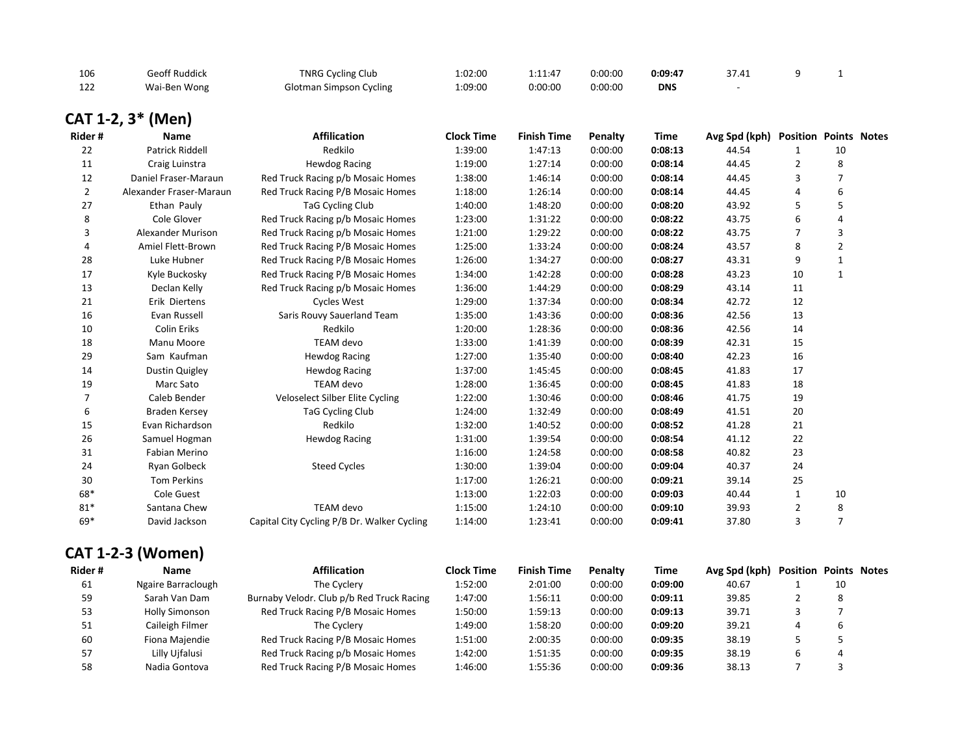| 106 | ieoff Ruddick | <b>TNRG Cycling Club</b>       | 00:02:0⊥ | 1:11:47 | 0:00:00 | 0:09:47    |  |  |
|-----|---------------|--------------------------------|----------|---------|---------|------------|--|--|
| 122 | Wai-Ben Wong  | <b>Glotman Simpson Cycling</b> | 1:09:00  | 0:00:00 | 0:00:00 | <b>DNS</b> |  |  |

# **CAT 1-2, 3\* (Men)**

| Rider#         | <b>Name</b>              | <b>Affilication</b>                         | <b>Clock Time</b> | <b>Finish Time</b> | <b>Penalty</b> | <b>Time</b> | Avg Spd (kph) | <b>Position Points Notes</b> |                |  |
|----------------|--------------------------|---------------------------------------------|-------------------|--------------------|----------------|-------------|---------------|------------------------------|----------------|--|
| 22             | Patrick Riddell          | Redkilo                                     | 1:39:00           | 1:47:13            | 0:00:00        | 0:08:13     | 44.54         |                              | 10             |  |
| 11             | Craig Luinstra           | <b>Hewdog Racing</b>                        | 1:19:00           | 1:27:14            | 0:00:00        | 0:08:14     | 44.45         | 2                            | 8              |  |
| 12             | Daniel Fraser-Maraun     | Red Truck Racing p/b Mosaic Homes           | 1:38:00           | 1:46:14            | 0:00:00        | 0:08:14     | 44.45         | 3                            | 7              |  |
| $\overline{2}$ | Alexander Fraser-Maraun  | Red Truck Racing P/B Mosaic Homes           | 1:18:00           | 1:26:14            | 0:00:00        | 0:08:14     | 44.45         | 4                            | 6              |  |
| 27             | Ethan Pauly              | TaG Cycling Club                            | 1:40:00           | 1:48:20            | 0:00:00        | 0:08:20     | 43.92         | 5                            | 5              |  |
| 8              | Cole Glover              | Red Truck Racing p/b Mosaic Homes           | 1:23:00           | 1:31:22            | 0:00:00        | 0:08:22     | 43.75         | 6                            | 4              |  |
| 3              | <b>Alexander Murison</b> | Red Truck Racing p/b Mosaic Homes           | 1:21:00           | 1:29:22            | 0:00:00        | 0:08:22     | 43.75         | 7                            | 3              |  |
| 4              | Amiel Flett-Brown        | Red Truck Racing P/B Mosaic Homes           | 1:25:00           | 1:33:24            | 0:00:00        | 0:08:24     | 43.57         | 8                            | $\overline{2}$ |  |
| 28             | Luke Hubner              | Red Truck Racing P/B Mosaic Homes           | 1:26:00           | 1:34:27            | 0:00:00        | 0:08:27     | 43.31         | 9                            | $\mathbf{1}$   |  |
| 17             | Kyle Buckosky            | Red Truck Racing P/B Mosaic Homes           | 1:34:00           | 1:42:28            | 0:00:00        | 0:08:28     | 43.23         | 10                           | $\mathbf{1}$   |  |
| 13             | Declan Kelly             | Red Truck Racing p/b Mosaic Homes           | 1:36:00           | 1:44:29            | 0:00:00        | 0:08:29     | 43.14         | 11                           |                |  |
| 21             | Erik Diertens            | Cycles West                                 | 1:29:00           | 1:37:34            | 0:00:00        | 0:08:34     | 42.72         | 12                           |                |  |
| 16             | Evan Russell             | Saris Rouvy Sauerland Team                  | 1:35:00           | 1:43:36            | 0:00:00        | 0:08:36     | 42.56         | 13                           |                |  |
| 10             | Colin Eriks              | Redkilo                                     | 1:20:00           | 1:28:36            | 0:00:00        | 0:08:36     | 42.56         | 14                           |                |  |
| 18             | Manu Moore               | TEAM devo                                   | 1:33:00           | 1:41:39            | 0:00:00        | 0:08:39     | 42.31         | 15                           |                |  |
| 29             | Sam Kaufman              | <b>Hewdog Racing</b>                        | 1:27:00           | 1:35:40            | 0:00:00        | 0:08:40     | 42.23         | 16                           |                |  |
| 14             | <b>Dustin Quigley</b>    | <b>Hewdog Racing</b>                        | 1:37:00           | 1:45:45            | 0:00:00        | 0:08:45     | 41.83         | 17                           |                |  |
| 19             | Marc Sato                | TEAM devo                                   | 1:28:00           | 1:36:45            | 0:00:00        | 0:08:45     | 41.83         | 18                           |                |  |
| 7              | Caleb Bender             | Veloselect Silber Elite Cycling             | 1:22:00           | 1:30:46            | 0:00:00        | 0:08:46     | 41.75         | 19                           |                |  |
| 6              | <b>Braden Kersey</b>     | <b>TaG Cycling Club</b>                     | 1:24:00           | 1:32:49            | 0:00:00        | 0:08:49     | 41.51         | 20                           |                |  |
| 15             | Evan Richardson          | Redkilo                                     | 1:32:00           | 1:40:52            | 0:00:00        | 0:08:52     | 41.28         | 21                           |                |  |
| 26             | Samuel Hogman            | <b>Hewdog Racing</b>                        | 1:31:00           | 1:39:54            | 0:00:00        | 0:08:54     | 41.12         | 22                           |                |  |
| 31             | Fabian Merino            |                                             | 1:16:00           | 1:24:58            | 0:00:00        | 0:08:58     | 40.82         | 23                           |                |  |
| 24             | Ryan Golbeck             | <b>Steed Cycles</b>                         | 1:30:00           | 1:39:04            | 0:00:00        | 0:09:04     | 40.37         | 24                           |                |  |
| 30             | <b>Tom Perkins</b>       |                                             | 1:17:00           | 1:26:21            | 0:00:00        | 0:09:21     | 39.14         | 25                           |                |  |
| 68*            | Cole Guest               |                                             | 1:13:00           | 1:22:03            | 0:00:00        | 0:09:03     | 40.44         | 1                            | 10             |  |
| $81*$          | Santana Chew             | TEAM devo                                   | 1:15:00           | 1:24:10            | 0:00:00        | 0:09:10     | 39.93         | 2                            | 8              |  |
| 69*            | David Jackson            | Capital City Cycling P/B Dr. Walker Cycling | 1:14:00           | 1:23:41            | 0:00:00        | 0:09:41     | 37.80         | 3                            | $\overline{7}$ |  |
|                |                          |                                             |                   |                    |                |             |               |                              |                |  |

# **CAT 1-2-3 (Women)**

| Rider# | <b>Name</b>           | <b>Affilication</b>                       | <b>Clock Time</b> | <b>Finish Time</b> | Penalty | Time    | Avg Spd (kph) | <b>Position Points Notes</b> |    |  |
|--------|-----------------------|-------------------------------------------|-------------------|--------------------|---------|---------|---------------|------------------------------|----|--|
| 61     | Ngaire Barraclough    | The Cyclery                               | 1:52:00           | 2:01:00            | 0:00:00 | 0:09:00 | 40.67         |                              | 10 |  |
| 59     | Sarah Van Dam         | Burnaby Velodr. Club p/b Red Truck Racing | 1:47:00           | 1:56:11            | 0:00:00 | 0:09:11 | 39.85         |                              | 8  |  |
| 53     | <b>Holly Simonson</b> | Red Truck Racing P/B Mosaic Homes         | 1:50:00           | 1:59:13            | 0:00:00 | 0:09:13 | 39.71         |                              |    |  |
| 51     | Caileigh Filmer       | The Cyclery                               | 1:49:00           | 1:58:20            | 0:00:00 | 0:09:20 | 39.21         |                              | b  |  |
| 60     | Fiona Majendie        | Red Truck Racing P/B Mosaic Homes         | 1:51:00           | 2:00:35            | 0:00:00 | 0:09:35 | 38.19         |                              |    |  |
| 57     | Lilly Ujfalusi        | Red Truck Racing p/b Mosaic Homes         | 1:42:00           | 1:51:35            | 0:00:00 | 0:09:35 | 38.19         |                              |    |  |
| 58     | Nadia Gontova         | Red Truck Racing P/B Mosaic Homes         | 1:46:00           | 1:55:36            | 0:00:00 | 0:09:36 | 38.13         |                              |    |  |